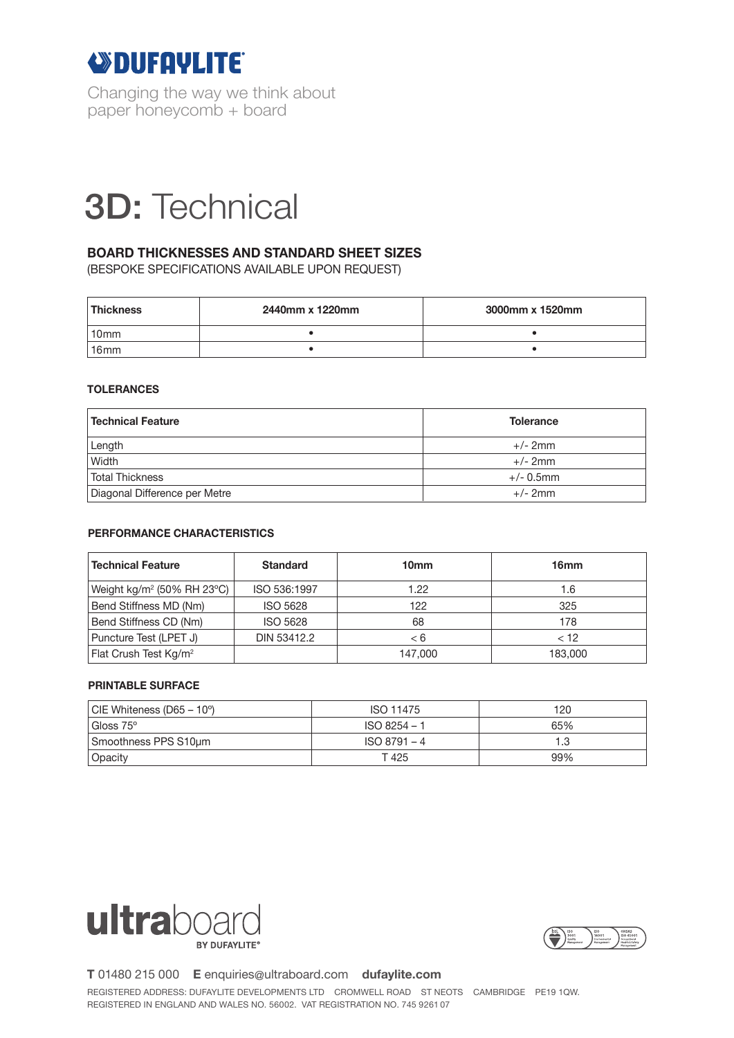

Changing the way we think about paper honeycomb + board

# 3D 3D: Technical

## **BOARD THICKNESSES AND STANDARD SHEET SIZES**

(BESPOKE SPECIFICATIONS AVAILABLE UPON REQUEST)

| <b>Thickness</b> | 2440mm x 1220mm | 3000mm x 1520mm |  |
|------------------|-----------------|-----------------|--|
| 10 <sub>mm</sub> |                 |                 |  |
| 16 <sub>mm</sub> |                 |                 |  |

### **TOLERANCES**

| <b>Technical Feature</b>      | <b>Tolerance</b> |  |
|-------------------------------|------------------|--|
| Length                        | $+/- 2mm$        |  |
| Width                         | $+/- 2mm$        |  |
| <b>Total Thickness</b>        | $+/- 0.5$ mm     |  |
| Diagonal Difference per Metre | $+/- 2mm$        |  |

### **PERFORMANCE CHARACTERISTICS**

| <b>Technical Feature</b>                          | <b>Standard</b> | 10 <sub>mm</sub> | 16 <sub>mm</sub> |
|---------------------------------------------------|-----------------|------------------|------------------|
| Weight kg/m <sup>2</sup> (50% RH 23 $^{\circ}$ C) | ISO 536:1997    | 1.22             | 1.6              |
| Bend Stiffness MD (Nm)                            | <b>ISO 5628</b> | 122              | 325              |
| Bend Stiffness CD (Nm)                            | <b>ISO 5628</b> | 68               | 178              |
| Puncture Test (LPET J)                            | DIN 53412.2     | - 6              | < 12             |
| Flat Crush Test Kg/m <sup>2</sup>                 |                 | 147.000          | 183,000          |

#### **PRINTABLE SURFACE**

| $ CIE Whiteness (D65 – 10^{\circ}) $ | ISO 11475      | 120 |
|--------------------------------------|----------------|-----|
| Gloss 75°                            | $ISO 8254 - 1$ | 65% |
| Smoothness PPS S10um                 | $ISO 8791 - 4$ |     |
| Opacity                              | T 425          | 99% |





**T** 01480 215 000 **E** enquiries@ultraboard.com **dufaylite.com**

REGISTERED ADDRESS: DUFAYLITE DEVELOPMENTS LTD CROMWELL ROAD ST NEOTS CAMBRIDGE PE19 1QW. REGISTERED IN ENGLAND AND WALES NO. 56002. VAT REGISTRATION NO. 745 9261 07